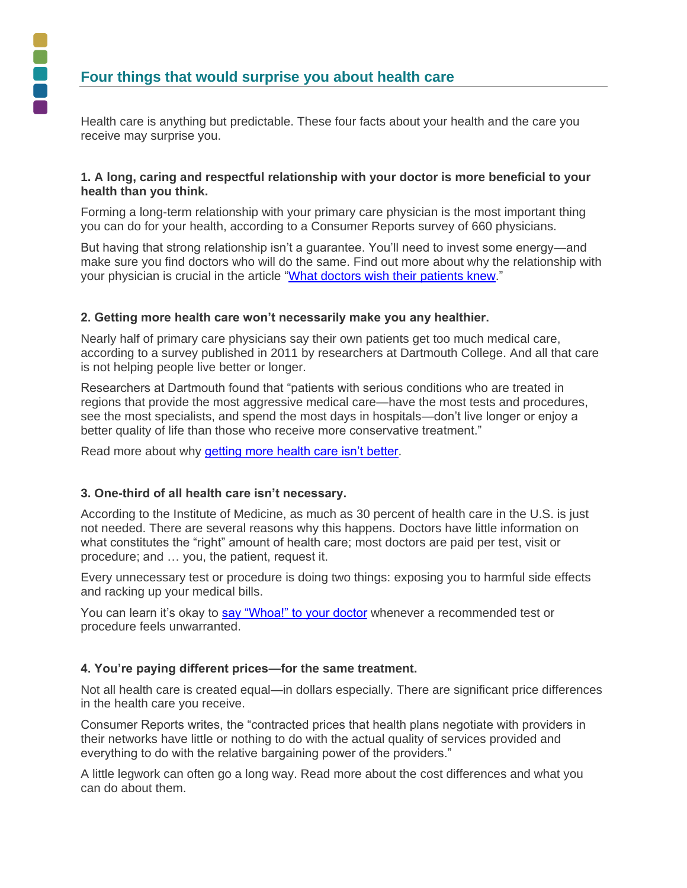Health care is anything but predictable. These four facts about your health and the care you receive may surprise you.

## **1. A long, caring and respectful relationship with your doctor is more beneficial to your health than you think.**

Forming a long-term relationship with your primary care physician is the most important thing you can do for your health, according to a Consumer Reports survey of 660 physicians.

But having that strong relationship isn't a guarantee. You'll need to invest some energy—and make sure you find doctors who will do the same. Find out more about why the relationship with your physician is crucial in the article ["What doctors wish their patients knew.](http://consumerhealthchoices.org/wp-content/uploads/2012/06/Doctor_Patient_Wish_lowres.pdf)"

## **2. Getting more health care won't necessarily make you any healthier.**

Nearly half of primary care physicians say their own patients get too much medical care, according to a survey published in 2011 by researchers at Dartmouth College. And all that care is not helping people live better or longer.

Researchers at Dartmouth found that "patients with serious conditions who are treated in regions that provide the most aggressive medical care—have the most tests and procedures, see the most specialists, and spend the most days in hospitals—don't live longer or enjoy a better quality of life than those who receive more conservative treatment."

Read more about why [getting more health care isn't better.](http://consumerhealthchoices.org/wp-content/uploads/2012/01/40-44CRENDOFLIFE072K8.pdf)

## **3. One-third of all health care isn't necessary.**

According to the Institute of Medicine, as much as 30 percent of health care in the U.S. is just not needed. There are several reasons why this happens. Doctors have little information on what constitutes the "right" amount of health care; most doctors are paid per test, visit or procedure; and … you, the patient, request it.

Every unnecessary test or procedure is doing two things: exposing you to harmful side effects and racking up your medical bills.

You can learn it's okay to [say "Whoa!" to your doctor](http://consumerhealthchoices.org/wp-content/uploads/2012/05/ChoosingWiselyWhoaPkg.pdf) whenever a recommended test or procedure feels unwarranted.

## **4. You're paying different prices—for the same treatment.**

Not all health care is created equal—in dollars especially. There are significant price differences in the health care you receive.

Consumer Reports writes, the "contracted prices that health plans negotiate with providers in their networks have little or nothing to do with the actual quality of services provided and everything to do with the relative bargaining power of the providers."

A little legwork can often go a long way. Read more about the cost differences and what you can do about them.